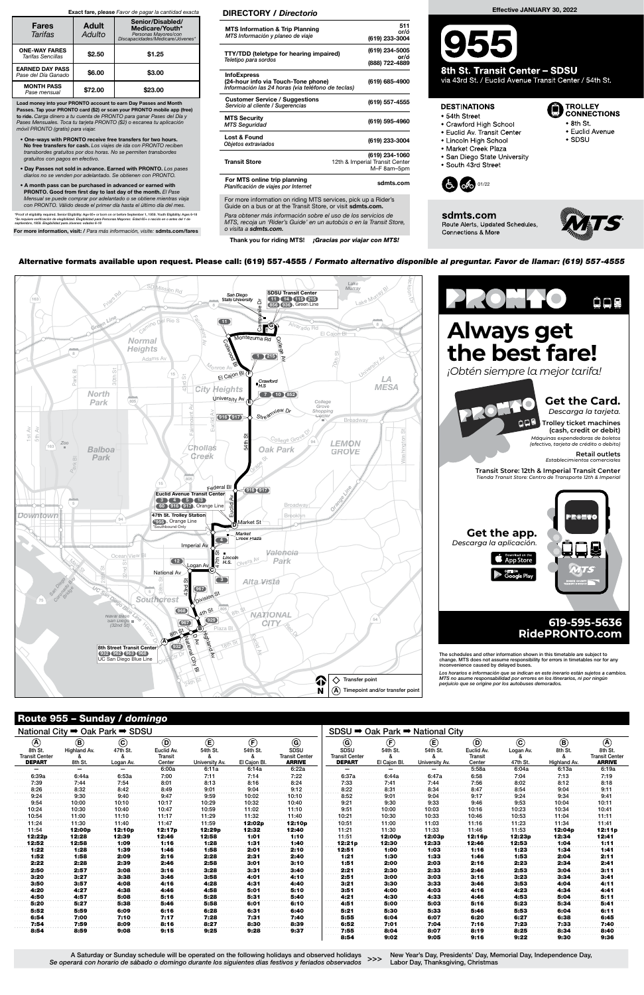

o visita a sdmts.com.

Thank you for riding MTS! **¡Gracias por viajar con MTS!** 

#### DIRECTORY / Directorio

| <b>MTS Information &amp; Trip Planning</b><br>MTS Información y planeo de viaje                                                      | 511<br>or/ó<br>(619) 233-3004                                   |
|--------------------------------------------------------------------------------------------------------------------------------------|-----------------------------------------------------------------|
| <b>TTY/TDD</b> (teletype for hearing impaired)<br>Teletipo para sordos                                                               | (619) 234-5005<br>or/ó<br>(888) 722-4889                        |
| <b>InfoExpress</b><br>(24-hour info via Touch-Tone phone)<br>Información las 24 horas (via teléfono de teclas)                       | (619) 685-4900                                                  |
| <b>Customer Service / Suggestions</b><br>Servicio al cliente / Sugerencias                                                           | (619) 557-4555                                                  |
| <b>MTS Security</b><br><b>MTS Seguridad</b>                                                                                          | (619) 595-4960                                                  |
| Lost & Found<br>Objetos extraviados                                                                                                  | (619) 233-3004                                                  |
| <b>Transit Store</b>                                                                                                                 | (619) 234-1060<br>12th & Imperial Transit Center<br>M-F 8am-5pm |
| For MTS online trip planning<br>Planificación de viajes por Internet                                                                 | sdmts.com                                                       |
| For more information on riding MTS services, pick up a Rider's<br>Guide on a bus or at the Transit Store, or visit <b>sdmts.com.</b> |                                                                 |
| Para obtener más información sobre el uso de los servicios de<br>MTS, recoja un 'Rider's Guide' en un autobús o en la Transit Store, |                                                                 |

Alternative formats available upon request. Please call: (619) 557-4555 / Formato alternativo disponible al preguntar. Favor de llamar: (619) 557-4555

change. MTS does not assume responsibility for errors in timetables nor for any inconvenience caused by delayed buses.



Los horarios e información que se indican en este inerario están sujetos a cambios. MTS no asume responsabilidad por errores en los itinerarios, ni por ningún perjuicio que se origine por los autobuses demorados.

New Year's Day, Presidents' Day, Memorial Day, Independence Day, >>> Labor Day, Thanksgiving, Christmas

Load money into your PRONTO account to earn Day Passes and Month Passes. Tap your PRONTO card (\$2) or scan your PRONTO mobile app (free) to ride. Carga dinero a tu cuenta de PRONTO para ganar Pases del Día y Pases Mensuales. Toca tu tarjeta PRONTO (\$2) o escanea tu aplicación móvil PRONTO (gratis) para viajar.

- One-ways with PRONTO receive free transfers for two hours. No free transfers for cash. Los viajes de ida con PRONTO reciben transbordes gratuitos por dos horas. No se permiten transbordes gratuitos con pagos en efectivo.
- Day Passes not sold in advance. Earned with PRONTO. Los pases diarios no se venden por adelantado. Se obtienen con PRONTO.
- A month pass can be purchased in advanced or earned with PRONTO. Good from first day to last day of the month. El Pase Mensual se puede comprar por adelantado o se obtiene mientras viaja con PRONTO. Válido desde el primer día hasta el último día del mes.

\*Proof of eligibility required. Senior Eligibility: Age 65+ or born on or before September 1, 1959. Youth Eligibility: Ages 6-18<br>\*Se requiere verificación de elegibilidad. Elegibilidad para Personas Mayores: Edad 65+ o nac

For more information, visit: / Para más información, visite: sdmts.com/fares

### Exact fare, please Favor de pagar la cantidad exacta

| <b>Fares</b><br>Tarifas                       | <b>Adult</b><br>Adulto | Senior/Disabled/<br>Medicare/Youth*<br>Personas Mayores/con<br>Discapacidades/Medicare/Jóvenes* |
|-----------------------------------------------|------------------------|-------------------------------------------------------------------------------------------------|
| <b>ONE-WAY FARES</b><br>Tarifas Sencillas     | \$2.50                 | \$1.25                                                                                          |
| <b>EARNED DAY PASS</b><br>Pase del Día Ganado | \$6.00                 | \$3.00                                                                                          |
| <b>MONTH PASS</b><br>Pase mensual             | \$72.00                | \$23.00                                                                                         |

#### Effective JANUARY 30, 2022



via 43rd St. / Euclid Avenue Transit Center / 54th St.

### **DESTINATIONS**

- 54th Street
- Crawford High School
- · Euclid Av. Transit Center
- Lincoln High School
- · Market Creek Plaza
- · San Diego State University • South 43rd Street



sdmts.com Route Alerts, Updated Schedules, Connections & More



TROLLEY<br>**DE CONNECTIONS** 

• Euclid Avenue

 $\bullet$  8th St.

 $\bullet$  SDSU

| National City <b>→</b> Oak Park → SDSU            |                         |                       |                                 |                            |                          |                                                |                                                | $SDSU \rightarrow Oak$ Park $\rightarrow$ National City |                            |                                 |                       |                         |                                                   |
|---------------------------------------------------|-------------------------|-----------------------|---------------------------------|----------------------------|--------------------------|------------------------------------------------|------------------------------------------------|---------------------------------------------------------|----------------------------|---------------------------------|-----------------------|-------------------------|---------------------------------------------------|
| $\circledA$                                       | $\circledast$           | $\odot$               | $\circledcirc$                  | $\circlede$                | E                        | $\circledcirc$                                 | $\odot$                                        | (F)                                                     | $\circlede$                | $\circledcirc$                  | $\odot$               | $\circledR$             | $^{\circledR}$                                    |
| 8th St.<br><b>Transit Center</b><br><b>DEPART</b> | Highland Av.<br>8th St. | 47th St.<br>Logan Av. | Euclid Av.<br>Transit<br>Center | 54th St.<br>University Av. | 54th St.<br>El Cajon Bl. | SDSU<br><b>Transit Center</b><br><b>ARRIVE</b> | SDSU<br><b>Transit Center</b><br><b>DEPART</b> | 54th St.<br>El Cajon Bl.                                | 54th St.<br>University Av. | Euclid Av.<br>Transit<br>Center | Logan Av.<br>47th St. | 8th St.<br>Highland Av. | 8th St.<br><b>Transit Center</b><br><b>ARRIVE</b> |
|                                                   |                         |                       | 6:00a                           | 6:11a                      | 6:14a                    | 6:22a                                          |                                                |                                                         |                            | 5:58a                           | 6:04a                 | 6:13a                   | 6:19a                                             |
| 6:39a                                             | 6:44a                   | 6:53a                 | 7:00                            | 7:11                       | 7:14                     | 7:22                                           | 6:37a                                          | 6:44a                                                   | 6:47a                      | 6:58                            | 7:04                  | 7:13                    | 7:19                                              |
| 7:39                                              | 7:44                    | 7:54                  | 8:01                            | 8:13                       | 8:16                     | 8:24                                           | 7:33                                           | 7:41                                                    | 7:44                       | 7:56                            | 8:02                  | 8:12                    | 8:18                                              |
| 8:26                                              | 8:32                    | 8:42                  | 8:49                            | 9:01                       | 9:04                     | 9:12                                           | 8:22                                           | 8:31                                                    | 8:34                       | 8:47                            | 8:54                  | 9:04                    | 9:11                                              |
| 9:24                                              | 9:30                    | 9:40                  | 9:47                            | 9:59                       | 10:02                    | 10:10                                          | 8:52                                           | 9:01                                                    | 9:04                       | 9:17                            | 9:24                  | 9:34                    | 9:41                                              |
| 9:54                                              | 10:00                   | 10:10                 | 10:17                           | 10:29                      | 10:32                    | 10:40                                          | 9:21                                           | 9:30                                                    | 9:33                       | 9:46                            | 9:53                  | 10:04                   | 10:11                                             |
| 10:24                                             | 10:30                   | 10:40                 | 10:47                           | 10:59                      | 11:02                    | 11:10                                          | 9:51                                           | 10:00                                                   | 10:03                      | 10:16                           | 10:23                 | 10:34                   | 10:41                                             |
| 10:54                                             | 11:00                   | 11:10                 | 11:17                           | 11:29                      | 11:32                    | 11:40                                          | 10:21                                          | 10:30                                                   | 10:33                      | 10:46                           | 10:53                 | 11:04                   | 11:11                                             |
| 11:24                                             | 11:30                   | 11:40                 | 11:47                           | 11:59                      | 12:02p                   | 12:10p                                         | 10:51                                          | 11:00                                                   | 11:03                      | 11:16                           | 11:23                 | 11:34                   | 11:41                                             |
| 11:54                                             | 12:00p                  | 12:10p                | 12:17p                          | 12:29p                     | 12:32                    | 12:40                                          | 11:21                                          | 11:30                                                   | 11:33                      | 11:46                           | 11:53                 | 12:04p                  | 12:11p                                            |
| 12:22p                                            | 12:28                   | 12:39                 | 12:46                           | 12:58                      | 1:01                     | 1:10                                           | 11:51                                          | 12:00p                                                  | 12:03p                     | 12:16p                          | 12:23p                | 12:34                   | 12:41                                             |
| 12:52                                             | 12:58                   | 1:09                  | 1:16                            | 1:28                       | 1:31                     | 1:40                                           | 12:21p                                         | 12:30                                                   | 12:33                      | 12:46                           | 12:53                 | 1:04                    | 1:11                                              |
| 1:22                                              | 1:28                    | 1:39                  | 1:46                            | 1:58                       | 2:01                     | 2:10                                           | 12:51                                          | 1:00                                                    | 1:03                       | 1:16                            | 1:23                  | 1:34                    | 1:41                                              |
| 1:52                                              | 1:58                    | 2:09                  | 2:16                            | 2:28                       | 2:31                     | 2:40                                           | 1:21                                           | 1:30                                                    | 1:33                       | 1:46                            | 1:53                  | 2:04                    | 2:11                                              |
| 2:22                                              | 2:28                    | 2:39                  | 2:46                            | 2:58                       | 3:01                     | 3:10                                           | 1:51                                           | 2:00                                                    | 2:03                       | 2:16                            | 2:23                  | 2:34                    | 2:41                                              |
| 2:50                                              | 2:57                    | 3:08                  | 3:16                            | 3:28                       | 3:31                     | 3:40                                           | 2:21                                           | 2:30                                                    | 2:33                       | 2:46                            | 2:53                  | 3:04                    | 3:11                                              |
| 3:20                                              | 3:27                    | 3:38                  | 3:46                            | 3:58                       | 4:01                     | 4:10                                           | 2:51                                           | 3:00                                                    | 3:03                       | 3:16                            | 3:23                  | 3:34                    | 3:41                                              |
| 3:50                                              | 3:57                    | 4:08                  | 4:16                            | 4:28                       | 4:31                     | 4:40                                           | 3:21                                           | 3:30                                                    | 3:33                       | 3:46                            | 3:53                  | 4:04                    | 4:11                                              |
| 4:20                                              | 4:27                    | 4:38                  | 4:46                            | 4:58                       | 5:01                     | 5:10                                           | 3:51                                           | 4:00                                                    | 4:03                       | 4:16                            | 4:23                  | 4:34                    | 4:41                                              |
| 4:50                                              | 4:57                    | 5:08                  | 5:16                            | 5:28                       | 5:31                     | 5:40                                           | 4:21                                           | 4:30                                                    | 4:33                       | 4:46                            | 4:53                  | 5:04                    | 5:11                                              |
| 5:20                                              | 5:27                    | 5:38                  | 5:46                            | 5:58                       | 6:01                     | 6:10                                           | 4:51                                           | 5:00                                                    | 5:03                       | 5:16                            | 5:23                  | 5:34                    | 5:41                                              |
| 5:52                                              | 5:59                    | 6:09                  | 6:16                            | 6:28                       | 6:31                     | 6:40                                           | 5:21                                           | 5:30                                                    | 5:33                       | 5:46                            | 5:53                  | 6:04                    | 6:11                                              |
| 6:54                                              | 7:00                    | 7:10                  | 7:17                            | 7:28                       | 7:31                     | 7:40                                           | 5:55                                           | 6:04                                                    | 6:07                       | 6:20                            | 6:27                  | 6:38                    | 6:45                                              |
| 7:54                                              | 7:59                    | 8:09                  | 8:16                            | 8:27                       | 8:30                     | 8:39                                           | 6:52                                           | 7:01                                                    | 7:04                       | 7:16                            | 7:23                  | 7:33                    | 7:40                                              |
| 8:54                                              | 8:59                    | 9:08                  | 9:15                            | 9:25                       | 9:28                     | 9:37                                           | 7:55                                           | 8:04                                                    | 8:07                       | 8:19                            | 8:25                  | 8:34                    | 8:40                                              |
|                                                   |                         |                       |                                 |                            |                          |                                                | 8:54                                           | 9:02                                                    | 9:05                       | 9:16                            | 9:22                  | 9:30                    | 9:36                                              |

# Route 955 – Sunday / domingo

A Saturday or Sunday schedule will be operated on the following holidays and observed holidays Se operará con horario de sábado o domingo durante los siguientes días festivos y feriados observados